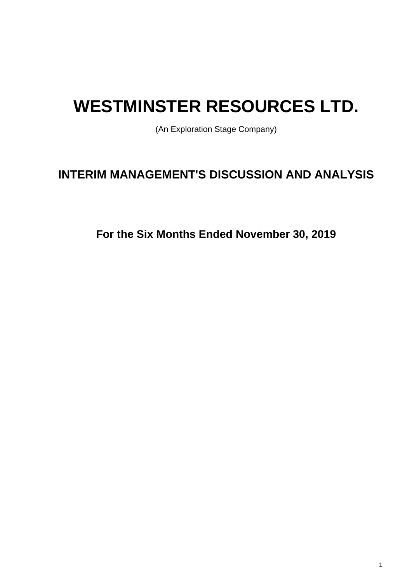# **WESTMINSTER RESOURCES LTD.**

(An Exploration Stage Company)

# **INTERIM MANAGEMENT'S DISCUSSION AND ANALYSIS**

**For the Six Months Ended November 30, 2019**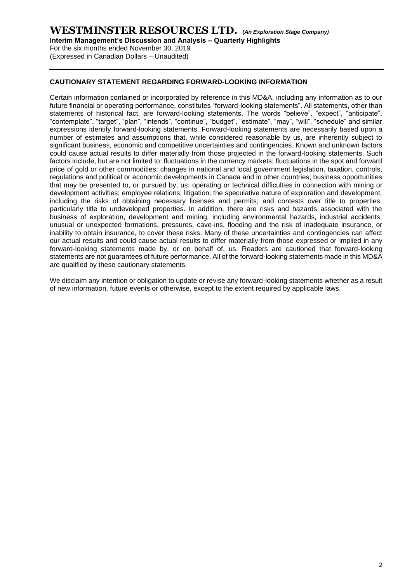### **WESTMINSTER RESOURCES LTD.** *(An Exploration Stage Company)*

**Interim Management's Discussion and Analysis – Quarterly Highlights**

For the six months ended November 30, 2019 (Expressed in Canadian Dollars – Unaudited)

#### **CAUTIONARY STATEMENT REGARDING FORWARD-LOOKING INFORMATION**

Certain information contained or incorporated by reference in this MD&A, including any information as to our future financial or operating performance, constitutes "forward-looking statements". All statements, other than statements of historical fact, are forward-looking statements. The words "believe", "expect", "anticipate", "contemplate", "target", "plan", "intends", "continue", "budget", "estimate", "may", "will", "schedule" and similar expressions identify forward-looking statements. Forward-looking statements are necessarily based upon a number of estimates and assumptions that, while considered reasonable by us, are inherently subject to significant business, economic and competitive uncertainties and contingencies. Known and unknown factors could cause actual results to differ materially from those projected in the forward-looking statements. Such factors include, but are not limited to: fluctuations in the currency markets; fluctuations in the spot and forward price of gold or other commodities; changes in national and local government legislation, taxation, controls, regulations and political or economic developments in Canada and in other countries; business opportunities that may be presented to, or pursued by, us; operating or technical difficulties in connection with mining or development activities; employee relations; litigation; the speculative nature of exploration and development, including the risks of obtaining necessary licenses and permits; and contests over title to properties, particularly title to undeveloped properties. In addition, there are risks and hazards associated with the business of exploration, development and mining, including environmental hazards, industrial accidents, unusual or unexpected formations, pressures, cave-ins, flooding and the risk of inadequate insurance, or inability to obtain insurance, to cover these risks. Many of these uncertainties and contingencies can affect our actual results and could cause actual results to differ materially from those expressed or implied in any forward-looking statements made by, or on behalf of, us. Readers are cautioned that forward-looking statements are not guarantees of future performance. All of the forward-looking statements made in this MD&A are qualified by these cautionary statements.

We disclaim any intention or obligation to update or revise any forward-looking statements whether as a result of new information, future events or otherwise, except to the extent required by applicable laws.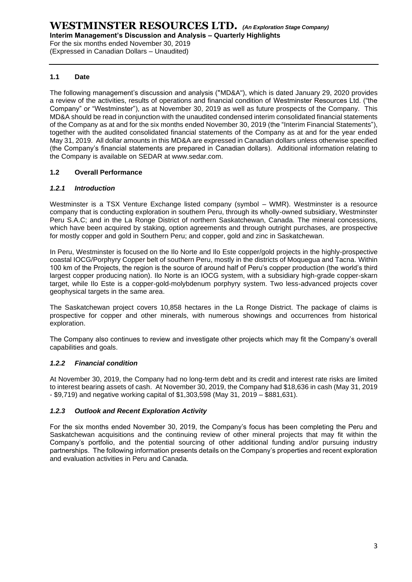**Interim Management's Discussion and Analysis – Quarterly Highlights**

For the six months ended November 30, 2019 (Expressed in Canadian Dollars – Unaudited)

#### **1.1 Date**

The following management's discussion and analysis ("MD&A"), which is dated January 29, 2020 provides a review of the activities, results of operations and financial condition of Westminster Resources Ltd. ("the Company" or "Westminster"), as at November 30, 2019 as well as future prospects of the Company. This MD&A should be read in conjunction with the unaudited condensed interim consolidated financial statements of the Company as at and for the six months ended November 30, 2019 (the "Interim Financial Statements"), together with the audited consolidated financial statements of the Company as at and for the year ended May 31, 2019. All dollar amounts in this MD&A are expressed in Canadian dollars unless otherwise specified (the Company's financial statements are prepared in Canadian dollars). Additional information relating to the Company is available on SEDAR at www.sedar.com.

#### **1.2 Overall Performance**

#### *1.2.1 Introduction*

Westminster is a TSX Venture Exchange listed company (symbol – WMR). Westminster is a resource company that is conducting exploration in southern Peru, through its wholly-owned subsidiary, Westminster Peru S.A.C; and in the La Ronge District of northern Saskatchewan, Canada. The mineral concessions, which have been acquired by staking, option agreements and through outright purchases, are prospective for mostly copper and gold in Southern Peru; and copper, gold and zinc in Saskatchewan.

In Peru, Westminster is focused on the Ilo Norte and Ilo Este copper/gold projects in the highly-prospective coastal IOCG/Porphyry Copper belt of southern Peru, mostly in the districts of Moquegua and Tacna. Within 100 km of the Projects, the region is the source of around half of Peru's copper production (the world's third largest copper producing nation). Ilo Norte is an IOCG system, with a subsidiary high-grade copper-skarn target, while Ilo Este is a copper-gold-molybdenum porphyry system. Two less-advanced projects cover geophysical targets in the same area.

The Saskatchewan project covers 10,858 hectares in the La Ronge District. The package of claims is prospective for copper and other minerals, with numerous showings and occurrences from historical exploration.

The Company also continues to review and investigate other projects which may fit the Company's overall capabilities and goals.

#### *1.2.2 Financial condition*

At November 30, 2019, the Company had no long-term debt and its credit and interest rate risks are limited to interest bearing assets of cash. At November 30, 2019, the Company had \$18,636 in cash (May 31, 2019 - \$9,719) and negative working capital of \$1,303,598 (May 31, 2019 – \$881,631).

#### *1.2.3 Outlook and Recent Exploration Activity*

For the six months ended November 30, 2019, the Company's focus has been completing the Peru and Saskatchewan acquisitions and the continuing review of other mineral projects that may fit within the Company's portfolio, and the potential sourcing of other additional funding and/or pursuing industry partnerships. The following information presents details on the Company's properties and recent exploration and evaluation activities in Peru and Canada.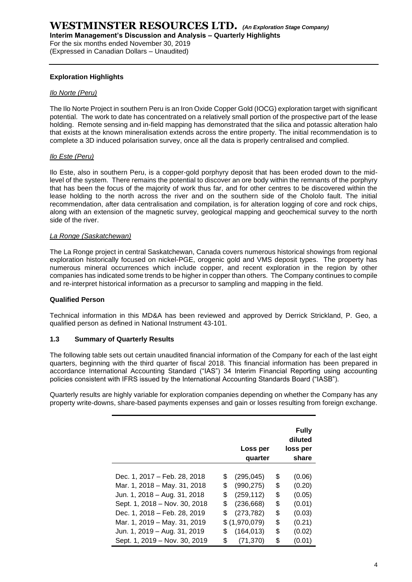**Interim Management's Discussion and Analysis – Quarterly Highlights**

For the six months ended November 30, 2019 (Expressed in Canadian Dollars – Unaudited)

#### **Exploration Highlights**

#### *Ilo Norte (Peru)*

The Ilo Norte Project in southern Peru is an Iron Oxide Copper Gold (IOCG) exploration target with significant potential. The work to date has concentrated on a relatively small portion of the prospective part of the lease holding. Remote sensing and in-field mapping has demonstrated that the silica and potassic alteration halo that exists at the known mineralisation extends across the entire property. The initial recommendation is to complete a 3D induced polarisation survey, once all the data is properly centralised and complied.

#### *Ilo Este (Peru)*

Ilo Este, also in southern Peru, is a copper-gold porphyry deposit that has been eroded down to the midlevel of the system. There remains the potential to discover an ore body within the remnants of the porphyry that has been the focus of the majority of work thus far, and for other centres to be discovered within the lease holding to the north across the river and on the southern side of the Chololo fault. The initial recommendation, after data centralisation and compilation, is for alteration logging of core and rock chips, along with an extension of the magnetic survey, geological mapping and geochemical survey to the north side of the river.

#### *La Ronge (Saskatchewan)*

The La Ronge project in central Saskatchewan, Canada covers numerous historical showings from regional exploration historically focused on nickel-PGE, orogenic gold and VMS deposit types. The property has numerous mineral occurrences which include copper, and recent exploration in the region by other companies has indicated some trends to be higher in copper than others. The Company continues to compile and re-interpret historical information as a precursor to sampling and mapping in the field.

#### **Qualified Person**

Technical information in this MD&A has been reviewed and approved by Derrick Strickland, P. Geo, a qualified person as defined in National Instrument 43-101.

#### **1.3 Summary of Quarterly Results**

The following table sets out certain unaudited financial information of the Company for each of the last eight quarters, beginning with the third quarter of fiscal 2018. This financial information has been prepared in accordance International Accounting Standard ("IAS") 34 Interim Financial Reporting using accounting policies consistent with IFRS issued by the International Accounting Standards Board ("IASB").

Quarterly results are highly variable for exploration companies depending on whether the Company has any property write-downs, share-based payments expenses and gain or losses resulting from foreign exchange.

|                               | Loss per<br>quarter | Fully<br>diluted<br>loss per<br>share |
|-------------------------------|---------------------|---------------------------------------|
| Dec. 1, 2017 – Feb. 28, 2018  | \$<br>(295, 045)    | \$<br>(0.06)                          |
| Mar. 1, 2018 - May. 31, 2018  | \$<br>(990, 275)    | \$<br>(0.20)                          |
| Jun. 1, 2018 - Aug. 31, 2018  | \$<br>(259, 112)    | \$<br>(0.05)                          |
| Sept. 1, 2018 - Nov. 30, 2018 | \$<br>(236, 668)    | \$<br>(0.01)                          |
| Dec. 1, 2018 – Feb. 28, 2019  | \$<br>(273, 782)    | \$<br>(0.03)                          |
| Mar. 1, 2019 - May. 31, 2019  | \$(1,970,079)       | \$<br>(0.21)                          |
| Jun. 1, 2019 - Aug. 31, 2019  | \$<br>(164, 013)    | \$<br>(0.02)                          |
| Sept. 1, 2019 – Nov. 30, 2019 | \$<br>(71,370)      | \$<br>(0.01)                          |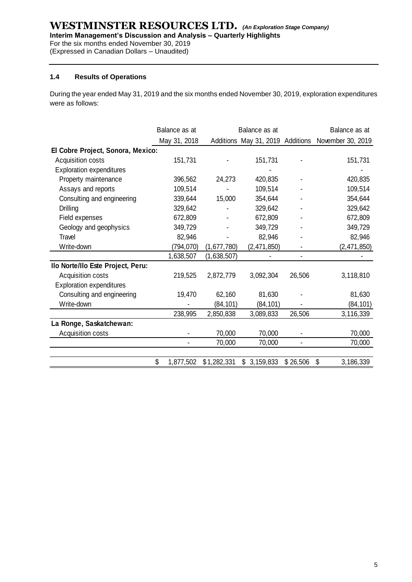# **WESTMINSTER RESOURCES LTD.** *(An Exploration Stage Company)*

**Interim Management's Discussion and Analysis – Quarterly Highlights**

For the six months ended November 30, 2019

(Expressed in Canadian Dollars – Unaudited)

#### **1.4 Results of Operations**

During the year ended May 31, 2019 and the six months ended November 30, 2019, exploration expenditures were as follows:

|                                   | Balance as at   | Balance as at |                                  |                | Balance as at     |
|-----------------------------------|-----------------|---------------|----------------------------------|----------------|-------------------|
|                                   | May 31, 2018    |               | Additions May 31, 2019 Additions |                | November 30, 2019 |
| El Cobre Project, Sonora, Mexico: |                 |               |                                  |                |                   |
| Acquisition costs                 | 151,731         |               | 151,731                          |                | 151,731           |
| <b>Exploration expenditures</b>   |                 |               |                                  |                |                   |
| Property maintenance              | 396,562         | 24,273        | 420,835                          |                | 420,835           |
| Assays and reports                | 109,514         |               | 109,514                          |                | 109,514           |
| Consulting and engineering        | 339,644         | 15,000        | 354,644                          |                | 354,644           |
| <b>Drilling</b>                   | 329,642         |               | 329,642                          |                | 329,642           |
| Field expenses                    | 672,809         |               | 672,809                          |                | 672,809           |
| Geology and geophysics            | 349,729         |               | 349,729                          |                | 349,729           |
| Travel                            | 82,946          |               | 82,946                           |                | 82,946            |
| Write-down                        | (794,070)       | (1,677,780)   | (2,471,850)                      |                | (2,471,850)       |
|                                   | 1,638,507       | (1,638,507)   |                                  |                |                   |
| Ilo Norte/Ilo Este Project, Peru: |                 |               |                                  |                |                   |
| Acquisition costs                 | 219,525         | 2,872,779     | 3,092,304                        | 26,506         | 3,118,810         |
| <b>Exploration expenditures</b>   |                 |               |                                  |                |                   |
| Consulting and engineering        | 19,470          | 62,160        | 81,630                           |                | 81,630            |
| Write-down                        |                 | (84, 101)     | (84, 101)                        |                | (84, 101)         |
|                                   | 238,995         | 2,850,838     | 3,089,833                        | 26,506         | 3,116,339         |
| La Ronge, Saskatchewan:           |                 |               |                                  |                |                   |
| Acquisition costs                 |                 | 70,000        | 70,000                           |                | 70,000            |
|                                   |                 | 70,000        | 70,000                           | $\blacksquare$ | 70,000            |
|                                   |                 |               |                                  |                |                   |
|                                   | \$<br>1,877,502 | \$1,282,331   | \$3,159,833                      | \$26,506       | \$<br>3,186,339   |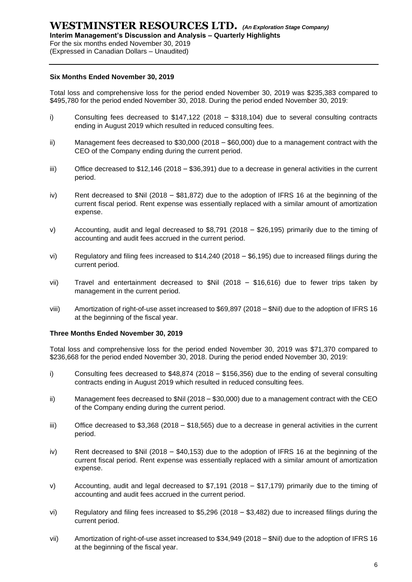For the six months ended November 30, 2019

(Expressed in Canadian Dollars – Unaudited)

#### **Six Months Ended November 30, 2019**

Total loss and comprehensive loss for the period ended November 30, 2019 was \$235,383 compared to \$495,780 for the period ended November 30, 2018. During the period ended November 30, 2019:

- i) Consulting fees decreased to \$147,122 (2018 \$318,104) due to several consulting contracts ending in August 2019 which resulted in reduced consulting fees.
- ii) Management fees decreased to \$30,000 (2018 \$60,000) due to a management contract with the CEO of the Company ending during the current period.
- iii) Office decreased to \$12,146 (2018 \$36,391) due to a decrease in general activities in the current period.
- iv) Rent decreased to \$Nil (2018 \$81,872) due to the adoption of IFRS 16 at the beginning of the current fiscal period. Rent expense was essentially replaced with a similar amount of amortization expense.
- v) Accounting, audit and legal decreased to \$8,791 (2018 \$26,195) primarily due to the timing of accounting and audit fees accrued in the current period.
- vi) Regulatory and filing fees increased to \$14,240 (2018 \$6,195) due to increased filings during the current period.
- vii) Travel and entertainment decreased to \$Nil (2018 \$16,616) due to fewer trips taken by management in the current period.
- viii) Amortization of right-of-use asset increased to \$69,897 (2018 \$Nil) due to the adoption of IFRS 16 at the beginning of the fiscal year.

#### **Three Months Ended November 30, 2019**

Total loss and comprehensive loss for the period ended November 30, 2019 was \$71,370 compared to \$236,668 for the period ended November 30, 2018. During the period ended November 30, 2019:

- i) Consulting fees decreased to \$48,874 (2018 \$156,356) due to the ending of several consulting contracts ending in August 2019 which resulted in reduced consulting fees.
- ii) Management fees decreased to \$Nil (2018 \$30,000) due to a management contract with the CEO of the Company ending during the current period.
- iii) Office decreased to \$3,368 (2018 \$18,565) due to a decrease in general activities in the current period.
- iv) Rent decreased to \$Nil (2018 \$40,153) due to the adoption of IFRS 16 at the beginning of the current fiscal period. Rent expense was essentially replaced with a similar amount of amortization expense.
- v) Accounting, audit and legal decreased to \$7,191 (2018 \$17,179) primarily due to the timing of accounting and audit fees accrued in the current period.
- vi) Regulatory and filing fees increased to \$5,296 (2018 \$3,482) due to increased filings during the current period.
- vii) Amortization of right-of-use asset increased to \$34,949 (2018 \$Nil) due to the adoption of IFRS 16 at the beginning of the fiscal year.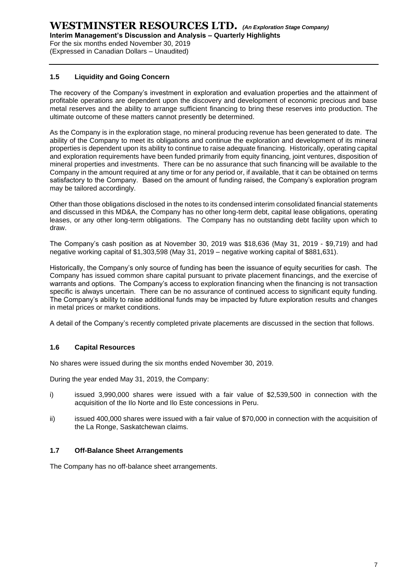(Expressed in Canadian Dollars – Unaudited)

#### **1.5 Liquidity and Going Concern**

The recovery of the Company's investment in exploration and evaluation properties and the attainment of profitable operations are dependent upon the discovery and development of economic precious and base metal reserves and the ability to arrange sufficient financing to bring these reserves into production. The ultimate outcome of these matters cannot presently be determined.

As the Company is in the exploration stage, no mineral producing revenue has been generated to date. The ability of the Company to meet its obligations and continue the exploration and development of its mineral properties is dependent upon its ability to continue to raise adequate financing. Historically, operating capital and exploration requirements have been funded primarily from equity financing, joint ventures, disposition of mineral properties and investments. There can be no assurance that such financing will be available to the Company in the amount required at any time or for any period or, if available, that it can be obtained on terms satisfactory to the Company. Based on the amount of funding raised, the Company's exploration program may be tailored accordingly.

Other than those obligations disclosed in the notes to its condensed interim consolidated financial statements and discussed in this MD&A, the Company has no other long-term debt, capital lease obligations, operating leases, or any other long-term obligations. The Company has no outstanding debt facility upon which to draw.

The Company's cash position as at November 30, 2019 was \$18,636 (May 31, 2019 - \$9,719) and had negative working capital of \$1,303,598 (May 31, 2019 – negative working capital of \$881,631).

Historically, the Company's only source of funding has been the issuance of equity securities for cash. The Company has issued common share capital pursuant to private placement financings, and the exercise of warrants and options. The Company's access to exploration financing when the financing is not transaction specific is always uncertain. There can be no assurance of continued access to significant equity funding. The Company's ability to raise additional funds may be impacted by future exploration results and changes in metal prices or market conditions.

A detail of the Company's recently completed private placements are discussed in the section that follows.

#### **1.6 Capital Resources**

No shares were issued during the six months ended November 30, 2019.

During the year ended May 31, 2019, the Company:

- i) issued 3,990,000 shares were issued with a fair value of \$2,539,500 in connection with the acquisition of the Ilo Norte and Ilo Este concessions in Peru.
- ii) issued 400,000 shares were issued with a fair value of \$70,000 in connection with the acquisition of the La Ronge, Saskatchewan claims.

#### **1.7 Off-Balance Sheet Arrangements**

The Company has no off-balance sheet arrangements.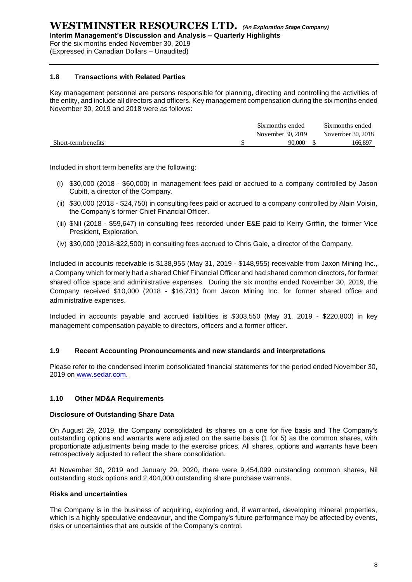For the six months ended November 30, 2019

(Expressed in Canadian Dollars – Unaudited)

#### **1.8 Transactions with Related Parties**

Key management personnel are persons responsible for planning, directing and controlling the activities of the entity, and include all directors and officers. Key management compensation during the six months ended November 30, 2019 and 2018 were as follows:

|                     | Six months ended  | Six months ended |                   |
|---------------------|-------------------|------------------|-------------------|
|                     | November 30, 2019 |                  | November 30, 2018 |
| Short-term benefits | 90.000            |                  | 166,897           |

Included in short term benefits are the following:

- (i) \$30,000 (2018 \$60,000) in management fees paid or accrued to a company controlled by Jason Cubitt, a director of the Company.
- (ii) \$30,000 (2018 \$24,750) in consulting fees paid or accrued to a company controlled by Alain Voisin, the Company's former Chief Financial Officer.
- (iii) \$Nil (2018 \$59,647) in consulting fees recorded under E&E paid to Kerry Griffin, the former Vice President, Exploration.
- (iv) \$30,000 (2018-\$22,500) in consulting fees accrued to Chris Gale, a director of the Company.

Included in accounts receivable is \$138,955 (May 31, 2019 - \$148,955) receivable from Jaxon Mining Inc., a Company which formerly had a shared Chief Financial Officer and had shared common directors, for former shared office space and administrative expenses. During the six months ended November 30, 2019, the Company received \$10,000 (2018 - \$16,731) from Jaxon Mining Inc. for former shared office and administrative expenses.

Included in accounts payable and accrued liabilities is \$303,550 (May 31, 2019 - \$220,800) in key management compensation payable to directors, officers and a former officer.

#### **1.9 Recent Accounting Pronouncements and new standards and interpretations**

Please refer to the condensed interim consolidated financial statements for the period ended November 30, 2019 on [www.sedar.com.](http://www.sedar.com/)

#### **1.10 Other MD&A Requirements**

#### **Disclosure of Outstanding Share Data**

On August 29, 2019, the Company consolidated its shares on a one for five basis and The Company's outstanding options and warrants were adjusted on the same basis (1 for 5) as the common shares, with proportionate adjustments being made to the exercise prices. All shares, options and warrants have been retrospectively adjusted to reflect the share consolidation.

At November 30, 2019 and January 29, 2020, there were 9,454,099 outstanding common shares, Nil outstanding stock options and 2,404,000 outstanding share purchase warrants.

#### **Risks and uncertainties**

The Company is in the business of acquiring, exploring and, if warranted, developing mineral properties, which is a highly speculative endeavour, and the Company's future performance may be affected by events, risks or uncertainties that are outside of the Company's control.